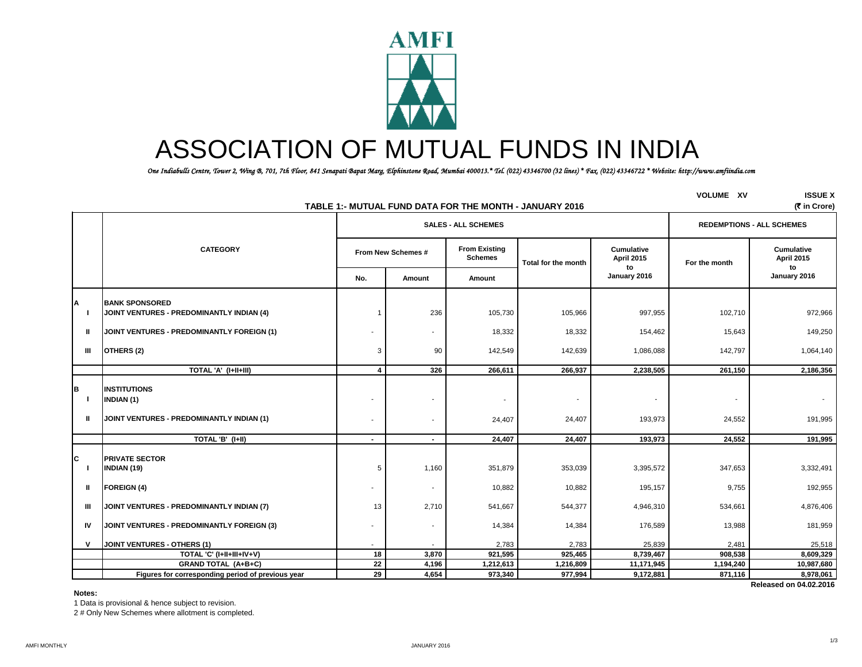

# ASSOCIATION OF MUTUAL FUNDS IN INDIA

 *One Indiabulls Centre, Tower 2, Wing B, 701, 7th Floor, 841 Senapati Bapat Marg, Elphinstone Road, Mumbai 400013.\* Tel. (022) 43346700 (32 lines) \* Fax. (022) 43346722 \* Website: http://www.amfiindia.com*

|                         | TABLE 1:- MUTUAL FUND DATA FOR THE MONTH - JANUARY 2016                        | <b>VOLUME XV</b>        | <b>ISSUE X</b><br>(₹ in Crore) |                                        |                                    |                                       |               |                                       |
|-------------------------|--------------------------------------------------------------------------------|-------------------------|--------------------------------|----------------------------------------|------------------------------------|---------------------------------------|---------------|---------------------------------------|
|                         |                                                                                |                         |                                | <b>SALES - ALL SCHEMES</b>             |                                    | <b>REDEMPTIONS - ALL SCHEMES</b>      |               |                                       |
|                         | <b>CATEGORY</b>                                                                | From New Schemes #      |                                | <b>From Existing</b><br><b>Schemes</b> | Total for the month                | <b>Cumulative</b><br>April 2015<br>to | For the month | <b>Cumulative</b><br>April 2015<br>to |
|                         |                                                                                | No.                     | Amount                         | Amount                                 |                                    | January 2016                          |               | January 2016                          |
| Α                       | <b>BANK SPONSORED</b><br>JOINT VENTURES - PREDOMINANTLY INDIAN (4)             |                         | 236                            | 105,730                                | 105,966                            | 997,955                               | 102,710       | 972,966                               |
| ш                       | JOINT VENTURES - PREDOMINANTLY FOREIGN (1)                                     |                         | ÷.                             | 18,332                                 | 18,332                             | 154,462                               | 15,643        | 149,250                               |
| Ш                       | OTHERS (2)                                                                     | 3                       | 90                             | 142,549                                | 142,639                            | 1,086,088                             | 142,797       | 1,064,140                             |
|                         | TOTAL 'A' (I+II+III)                                                           | $\overline{\mathbf{4}}$ | 326                            | 266,611                                | 266,937                            | 2,238,505                             | 261,150       | 2,186,356                             |
| B<br>-1<br>$\mathbf{u}$ | INSTITUTIONS<br><b>INDIAN (1)</b><br>JOINT VENTURES - PREDOMINANTLY INDIAN (1) | ٠                       | $\blacksquare$                 | $\overline{\phantom{a}}$<br>24,407     | $\overline{\phantom{a}}$<br>24,407 | 193,973                               | 24,552        | $\sim$<br>191,995                     |
|                         | TOTAL 'B' (I+II)                                                               | $\sim$                  | $\sim$                         | 24,407                                 | 24,407                             | 193.973                               | 24,552        | 191,995                               |
| C                       | <b>PRIVATE SECTOR</b><br><b>INDIAN (19)</b>                                    | 5                       | 1,160                          | 351,879                                | 353,039                            | 3,395,572                             | 347,653       | 3,332,491                             |
| Ш.                      | <b>FOREIGN (4)</b>                                                             |                         | $\overline{\phantom{a}}$       | 10,882                                 | 10,882                             | 195,157                               | 9,755         | 192,955                               |
| Ш                       | JOINT VENTURES - PREDOMINANTLY INDIAN (7)                                      | 13                      | 2,710                          | 541,667                                | 544,377                            | 4,946,310                             | 534,661       | 4,876,406                             |
| IV                      | JOINT VENTURES - PREDOMINANTLY FOREIGN (3)                                     |                         | $\blacksquare$                 | 14,384                                 | 14,384                             | 176,589                               | 13,988        | 181,959                               |
| $\mathsf{v}$            | JOINT VENTURES - OTHERS (1)                                                    | ٠                       | $\sim$                         | 2,783                                  | 2,783                              | 25,839                                | 2,481         | 25,518                                |
|                         | TOTAL 'C' (I+II+III+IV+V)                                                      | 18                      | 3,870                          | 921,595                                | 925,465                            | 8,739,467                             | 908,538       | 8,609,329                             |
|                         | <b>GRAND TOTAL (A+B+C)</b>                                                     | 22                      | 4,196                          | 1,212,613                              | 1,216,809                          | 11,171,945                            | 1,194,240     | 10,987,680                            |
|                         | Figures for corresponding period of previous year                              | 29                      | 4,654                          | 973,340                                | 977,994                            | 9,172,881                             | 871,116       | 8,978,061                             |
|                         |                                                                                |                         |                                |                                        |                                    |                                       |               | Released on 04.02.2016                |

#### **Notes:**

1 Data is provisional & hence subject to revision.

2 # Only New Schemes where allotment is completed.

1/3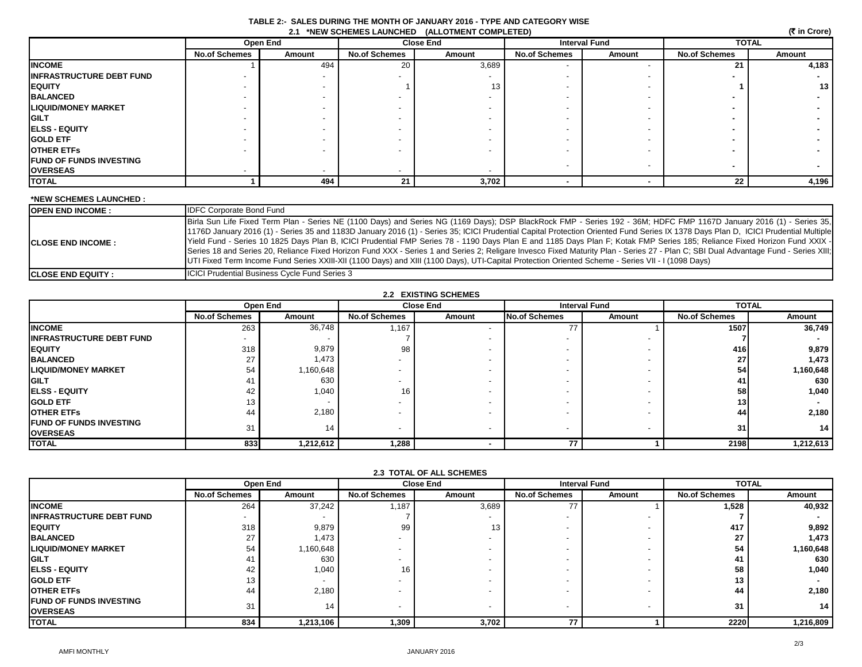| (₹ in Crore)<br>2.1 *NEW SCHEMES LAUNCHED (ALLOTMENT COMPLETED) |                      |          |                      |        |                      |                          |                      |        |
|-----------------------------------------------------------------|----------------------|----------|----------------------|--------|----------------------|--------------------------|----------------------|--------|
|                                                                 |                      | Open End | <b>Close End</b>     |        | <b>Interval Fund</b> |                          | <b>TOTAL</b>         |        |
|                                                                 | <b>No.of Schemes</b> | Amount   | <b>No.of Schemes</b> | Amount | <b>No.of Schemes</b> | Amount                   | <b>No.of Schemes</b> | Amount |
| <b>INCOME</b>                                                   |                      | 494      | 20                   | 3,689  |                      |                          | 21                   | 4,183  |
| <b>INFRASTRUCTURE DEBT FUND</b>                                 |                      |          |                      |        |                      |                          |                      |        |
| <b>EQUITY</b>                                                   |                      |          |                      | 13     |                      |                          |                      | 13     |
| <b>BALANCED</b>                                                 |                      |          |                      |        |                      |                          |                      |        |
| <b>LIQUID/MONEY MARKET</b>                                      |                      |          |                      |        |                      |                          |                      |        |
| <b>GILT</b>                                                     |                      |          |                      |        |                      |                          |                      |        |
| <b>ELSS - EQUITY</b>                                            |                      |          |                      |        |                      |                          |                      |        |
| <b>GOLD ETF</b>                                                 |                      |          |                      |        |                      |                          |                      |        |
| <b>OTHER ETFS</b>                                               |                      |          |                      |        |                      |                          |                      |        |
| <b>FUND OF FUNDS INVESTING</b>                                  |                      |          |                      |        | $\,$                 | $\overline{\phantom{a}}$ |                      |        |
| <b>OVERSEAS</b>                                                 |                      |          |                      |        |                      |                          |                      |        |
| TOTAL                                                           |                      | 494      | 21                   | 3,702  |                      |                          | 22                   | 4,196  |

 **TABLE 2:- SALES DURING THE MONTH OF JANUARY 2016 - TYPE AND CATEGORY WISE**

## **\*NEW SCHEMES LAUNCHED :**

| <b>IOPEN END INCOME :</b>  | <b>IDFC Corporate Bond Fund</b>                                                                                                                                                                                                                                                                                                                                                                                                                                                                                                                                                                                                                                                                                                                                                                                                                                                     |
|----------------------------|-------------------------------------------------------------------------------------------------------------------------------------------------------------------------------------------------------------------------------------------------------------------------------------------------------------------------------------------------------------------------------------------------------------------------------------------------------------------------------------------------------------------------------------------------------------------------------------------------------------------------------------------------------------------------------------------------------------------------------------------------------------------------------------------------------------------------------------------------------------------------------------|
| <b>ICLOSE END INCOME :</b> | Birla Sun Life Fixed Term Plan - Series NE (1100 Days) and Series NG (1169 Days); DSP BlackRock FMP - Series 192 - 36M; HDFC FMP 1167D January 2016 (1) - Series 35,<br>1176D January 2016 (1) - Series 35 and 1183D January 2016 (1) - Series 35; ICICI Prudential Capital Protection Oriented Fund Series IX 1378 Days Plan D. ICICI Prudential Multiple<br>Yield Fund - Series 10 1825 Days Plan B, ICICI Prudential FMP Series 78 - 1190 Days Plan E and 1185 Days Plan F; Kotak FMP Series 185; Reliance Fixed Horizon Fund XXIX -<br>Series 18 and Series 20, Reliance Fixed Horizon Fund XXX - Series 1 and Series 2; Religare Invesco Fixed Maturity Plan - Series 27 - Plan C; SBI Dual Advantage Fund - Series XIII;<br>UTI Fixed Term Income Fund Series XXIII-XII (1100 Days) and XIII (1100 Days), UTI-Capital Protection Oriented Scheme - Series VII - I (1098 Days) |
| <b>ICLOSE END EQUITY :</b> | <b>ICICI Prudential Business Cycle Fund Series 3</b>                                                                                                                                                                                                                                                                                                                                                                                                                                                                                                                                                                                                                                                                                                                                                                                                                                |

| 2.2 EXISTING SCHEMES            |                      |           |                          |                  |                      |                          |                      |              |  |
|---------------------------------|----------------------|-----------|--------------------------|------------------|----------------------|--------------------------|----------------------|--------------|--|
|                                 |                      | Open End  |                          | <b>Close End</b> | <b>Interval Fund</b> |                          |                      | <b>TOTAL</b> |  |
|                                 | <b>No.of Schemes</b> | Amount    | <b>No.of Schemes</b>     | Amount           | <b>No.of Schemes</b> | Amount                   | <b>No.of Schemes</b> | Amount       |  |
| <b>INCOME</b>                   | 263                  | 36,748    | 1,167                    |                  | 77                   |                          | 1507                 | 36,749       |  |
| <b>INFRASTRUCTURE DEBT FUND</b> |                      |           |                          |                  |                      |                          |                      |              |  |
| <b>EQUITY</b>                   | 318                  | 9,879     | 98                       |                  |                      |                          | 416                  | 9,879        |  |
| <b>BALANCED</b>                 | 27                   | 1,473     | $\overline{\phantom{0}}$ |                  |                      |                          | 27                   | 1,473        |  |
| <b>LIQUID/MONEY MARKET</b>      | 54                   | 1,160,648 | $\overline{\phantom{a}}$ |                  |                      |                          | 54                   | 1,160,648    |  |
| <b>GILT</b>                     | 41                   | 630       | -                        |                  |                      |                          | 41                   | 630          |  |
| <b>IELSS - EQUITY</b>           | 42                   | 1,040     | 16                       |                  |                      |                          | 58                   | 1,040        |  |
| <b>GOLD ETF</b>                 | 13                   |           | $\overline{\phantom{0}}$ |                  |                      | $\,$                     | 13                   |              |  |
| <b>OTHER ETFS</b>               | 44                   | 2,180     | $\blacksquare$           |                  |                      | $\overline{\phantom{0}}$ | 44                   | 2,180        |  |
| <b>IFUND OF FUNDS INVESTING</b> | 31                   | 14        | $\overline{\phantom{0}}$ |                  |                      |                          | 31                   | 14           |  |
| <b>OVERSEAS</b>                 |                      |           |                          |                  |                      |                          |                      |              |  |
| <b>TOTAL</b>                    | 833                  | 1,212,612 | 1,288                    |                  | 77                   |                          | 2198                 | 1,212,613    |  |

|                                                    |                          | Open End  | <b>Close End</b>         |        |                      | <b>Interval Fund</b> | <b>TOTAL</b>         |           |
|----------------------------------------------------|--------------------------|-----------|--------------------------|--------|----------------------|----------------------|----------------------|-----------|
|                                                    | <b>No.of Schemes</b>     | Amount    | <b>No.of Schemes</b>     | Amount | <b>No.of Schemes</b> | Amount               | <b>No.of Schemes</b> | Amount    |
| <b>INCOME</b>                                      | 264                      | 37,242    | 1,187                    | 3,689  | 77                   |                      | 1,528                | 40,932    |
| <b>INFRASTRUCTURE DEBT FUND</b>                    | $\overline{\phantom{a}}$ |           |                          |        |                      |                      |                      |           |
| <b>IEQUITY</b>                                     | 318                      | 9,879     | 99                       | 13     |                      |                      | 417                  | 9,892     |
| <b>BALANCED</b>                                    | 27                       | 1,473     |                          |        |                      |                      | 27                   | 1,473     |
| <b>LIQUID/MONEY MARKET</b>                         | 54                       | 1,160,648 |                          |        |                      |                      | 54                   | 1,160,648 |
| <b>GILT</b>                                        | 41                       | 630       |                          |        |                      |                      | 41                   | 630       |
| <b>ELSS - EQUITY</b>                               | 42                       | 1,040     | 16 <sub>1</sub>          |        |                      |                      | 58                   | 1,040     |
| <b>GOLD ETF</b>                                    | 13 <sup>13</sup>         |           |                          |        |                      |                      | 13                   |           |
| <b>OTHER ETFS</b>                                  | 44                       | 2,180     |                          |        |                      |                      | 44                   | 2,180     |
| <b>IFUND OF FUNDS INVESTING</b><br><b>OVERSEAS</b> | 31                       | 14        | $\overline{\phantom{a}}$ |        |                      |                      | 31                   | 14        |
| <b>TOTAL</b>                                       | 834                      | 1,213,106 | 1,309                    | 3,702  | 77                   |                      | 2220                 | 1,216,809 |

# **2.3 TOTAL OF ALL SCHEMES**